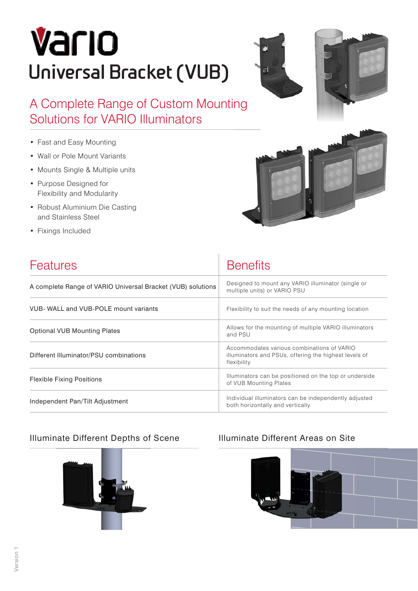# Vario **Universal Bracket (VUB)**





A Complete Range of Custom Mounting Solutions for VARIO Illuminators

- Fast and Easy Mounting
- Wall or Pole Mount Variants
- Mounts Single & Multiple units
- Purpose Designed for Flexibility and Modularity
- Robust Aluminium Die Casting and Stainless Steel
- Fixings Included



| <b>Features</b>                                             | <b>Benefits</b>                                                                                                    |
|-------------------------------------------------------------|--------------------------------------------------------------------------------------------------------------------|
| A complete Range of VARIO Universal Bracket (VUB) solutions | Designed to mount any VARIO illuminator (single or<br>multiple units) or VARIO PSU                                 |
| VUB- WALL and VUB-POLE mount variants                       | Flexibility to suit the needs of any mounting location                                                             |
| <b>Optional VUB Mounting Plates</b>                         | Allows for the mounting of multiple VARIO illuminators<br>and PSU                                                  |
| Different Illuminator/PSU combinations                      | Accommodates various combinations of VARIO<br>illuminators and PSUs, offering the highest levels of<br>flexibility |
| <b>Flexible Fixing Positions</b>                            | Illuminators can be positioned on the top or underside<br>of VUB Mounting Plates                                   |
| Independent Pan/Tilt Adjustment                             | Individual illuminators can be independently adjusted<br>both horizontally and vertically                          |

#### Illuminate Different Depths of Scene Illuminate Different Areas on Site



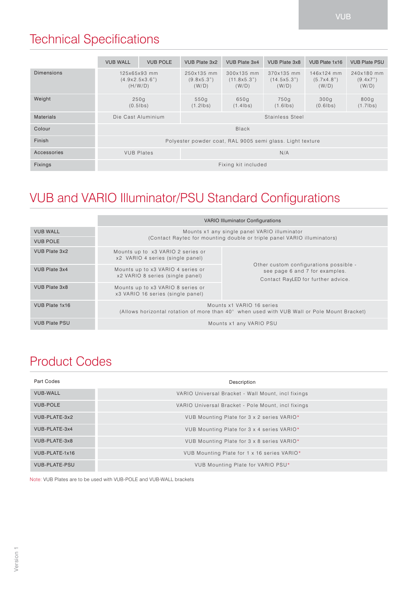# Technical Specifications

|                   | <b>VUB WALL</b>                                           | <b>VUB POLE</b> | VUB Plate 3x2                     | VUB Plate 3x4                      | VUB Plate 3x8                      | VUB Plate 1x16                    | <b>VUB Plate PSU</b>            |
|-------------------|-----------------------------------------------------------|-----------------|-----------------------------------|------------------------------------|------------------------------------|-----------------------------------|---------------------------------|
| <b>Dimensions</b> | 125x65x93 mm<br>(4.9x2.5x3.6")<br>(H/W/D)                 |                 | 250x135 mm<br>(9.8x5.3")<br>(W/D) | 300x135 mm<br>(11.8x5.3")<br>(W/D) | 370x135 mm<br>(14.5x5.3")<br>(W/D) | 146x124 mm<br>(5.7x4.8")<br>(W/D) | 240x180 mm<br>(9.4x7")<br>(W/D) |
| Weight            | 250q<br>$(0.5$ lbs)                                       |                 | 550q<br>$(1.2$ lbs)               | 650g<br>$(1.4$ lbs)                | 750g<br>$(1.6$ lbs)                | 300q<br>$(0.6$ lbs)               | 800g<br>$(1.7$ lbs)             |
| <b>Materials</b>  | Die Cast Aluminium<br>Stainless Steel                     |                 |                                   |                                    |                                    |                                   |                                 |
| Colour            | <b>Black</b>                                              |                 |                                   |                                    |                                    |                                   |                                 |
| Finish            | Polyester powder coat, RAL 9005 semi glass. Light texture |                 |                                   |                                    |                                    |                                   |                                 |
| Accessories       | <b>VUB Plates</b>                                         |                 | N/A                               |                                    |                                    |                                   |                                 |
| <b>Fixings</b>    | Fixing kit included                                       |                 |                                   |                                    |                                    |                                   |                                 |

# VUB and VARIO Illuminator/PSU Standard Configurations

|                      | <b>VARIO Illuminator Configurations</b>                                                                                  |                                                                                                                |  |  |  |
|----------------------|--------------------------------------------------------------------------------------------------------------------------|----------------------------------------------------------------------------------------------------------------|--|--|--|
| <b>VUB WALL</b>      | Mounts x1 any single panel VARIO illuminator                                                                             |                                                                                                                |  |  |  |
| <b>VUB POLE</b>      | (Contact Raytec for mounting double or triple panel VARIO illuminators)                                                  |                                                                                                                |  |  |  |
| VUB Plate 3x2        | Mounts up to x3 VARIO 2 series or<br>x2 VARIO 4 series (single panel)                                                    |                                                                                                                |  |  |  |
| VUB Plate 3x4        | Mounts up to x3 VARIO 4 series or<br>x2 VARIO 8 series (single panel)                                                    | Other custom configurations possible -<br>see page 6 and 7 for examples.<br>Contact RayLED for further advice. |  |  |  |
| VUB Plate 3x8        | Mounts up to x3 VARIO 8 series or<br>x3 VARIO 16 series (single panel)                                                   |                                                                                                                |  |  |  |
| VUB Plate 1x16       | Mounts x1 VARIO 16 series<br>(Allows horizontal rotation of more than 40° when used with VUB Wall or Pole Mount Bracket) |                                                                                                                |  |  |  |
| <b>VUB Plate PSU</b> |                                                                                                                          | Mounts x1 any VARIO PSU                                                                                        |  |  |  |

# Product Codes

| Part Codes           | Description                                        |
|----------------------|----------------------------------------------------|
| <b>VUB-WALL</b>      | VARIO Universal Bracket - Wall Mount, incl fixings |
| <b>VUB-POLE</b>      | VARIO Universal Bracket - Pole Mount, incl fixings |
| VUB-PLATE-3x2        | VUB Mounting Plate for 3 x 2 series VARIO*         |
| VUB-PLATE-3x4        | VUB Mounting Plate for 3 x 4 series VARIO*         |
| VUB-PLATE-3x8        | VUB Mounting Plate for 3 x 8 series VARIO*         |
| VUB-PLATE-1x16       | VUB Mounting Plate for 1 x 16 series VARIO*        |
| <b>VUB-PLATE-PSU</b> | VUB Mounting Plate for VARIO PSU*                  |

Note: VUB Plates are to be used with VUB-POLE and VUB-WALL brackets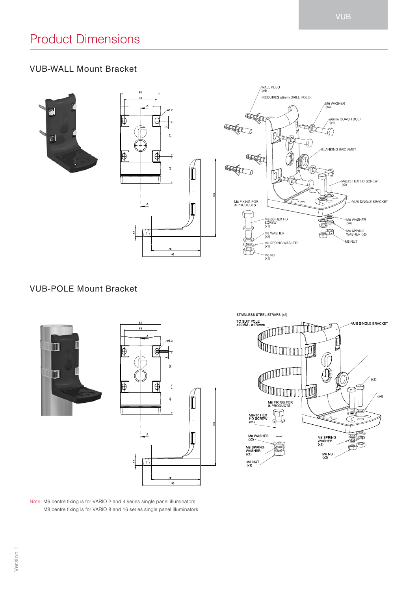#### VUB-WALL Mount Bracket





#### VUB-POLE Mount Bracket







Note: M6 centre fixing is for VARIO 2 and 4 series single panel illuminators M8 centre fixing is for VARIO 8 and 16 series single panel illuminators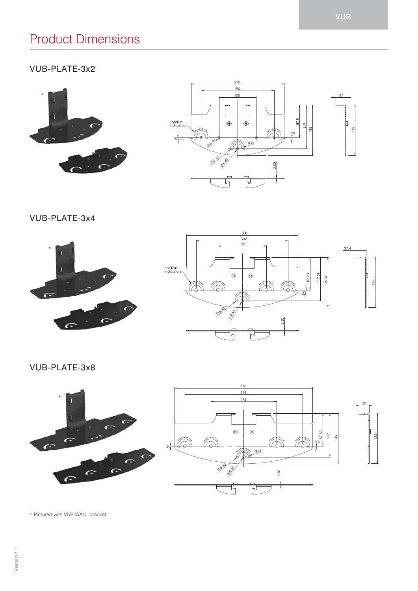# Product Dimensions

### VUB-PLATE-3x2





VUB-PLATE-3x4





VUB-PLATE-3x8





\* Pictured with VUB-WALL bracket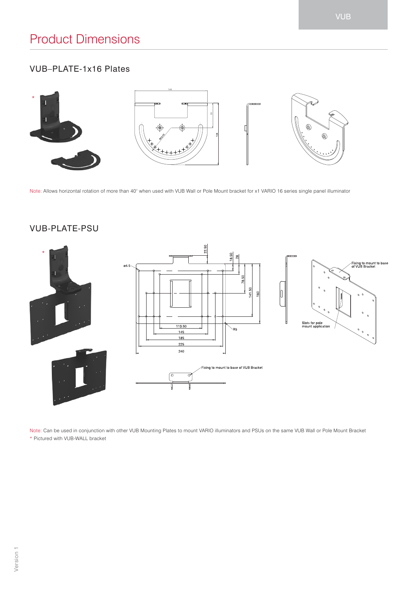## VUB–PLATE-1x16 Plates



Note: Allows horizontal rotation of more than 40° when used with VUB Wall or Pole Mount bracket for x1 VARIO 16 series single panel illuminator

#### VUB-PLATE-PSU



Note: Can be used in conjunction with other VUB Mounting Plates to mount VARIO illuminators and PSUs on the same VUB Wall or Pole Mount Bracket \* Pictured with VUB-WALL bracket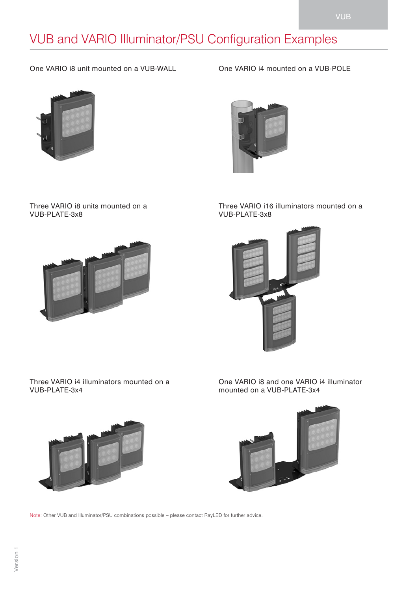# VUB and VARIO Illuminator/PSU Configuration Examples

One VARIO i8 unit mounted on a VUB-WALL



Three VARIO i8 units mounted on a VUB-PLATE-3x8



One VARIO i4 mounted on a VUB-POLE



Three VARIO i16 illuminators mounted on a VUB-PLATE-3x8



Three VARIO i4 illuminators mounted on a VUB-PLATE-3x4



One VARIO i8 and one VARIO i4 illuminator mounted on a VUB-PLATE-3x4



Note: Other VUB and Illuminator/PSU combinations possible – please contact RayLED for further advice.